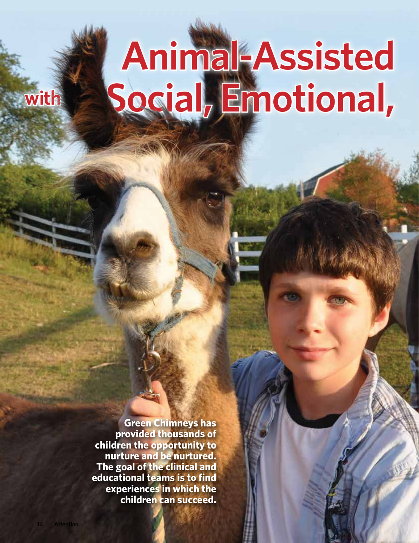# **Animal-Assisted Social, Emotional,**

**Green Chimneys has provided thousands of children the opportunity to nurture and be nurtured. The goal of the clinical and educational teams is to find experiences in which the children can succeed.**

**with**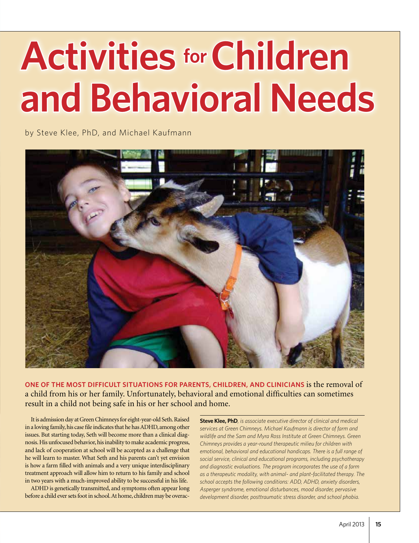## **Activities for Children and Behavioral Needs**

by Steve Klee, PhD, and Michael Kaufmann



**One of the most difficult situations for parents, children, and clinicians** is the removal of a child from his or her family. Unfortunately, behavioral and emotional difficulties can sometimes result in a child not being safe in his or her school and home.

It is admission day at Green Chimneys for eight-year-old Seth. Raised in a loving family, his case file indicates that he has ADHD, among other issues. But starting today, Seth will become more than a clinical diagnosis. His unfocused behavior, his inability to make academic progress, and lack of cooperation at school will be accepted as a challenge that he will learn to master. What Seth and his parents can't yet envision is how a farm filled with animals and a very unique interdisciplinary treatment approach will allow him to return to his family and school in two years with a much-improved ability to be successful in his life.

ADHD is genetically transmitted, and symptoms often appear long before a child ever sets foot in school. At home, children may be overac**Steve Klee, PhD***, is associate executive director of clinical and medical services at Green Chimneys. Michael Kaufmann is director of farm and wildlife and the Sam and Myra Ross Institute at Green Chimneys. Green Chimneys provides a year-round therapeutic milieu for children with emotional, behavioral and educational handicaps. There is a full range of social service, clinical and educational programs, including psychotherapy and diagnostic evaluations. The program incorporates the use of a farm as a therapeutic modality, with animal- and plant-facilitated therapy. The school accepts the following conditions: ADD, ADHD, anxiety disorders, Asperger syndrome, emotional disturbances, mood disorder, pervasive development disorder, posttraumatic stress disorder, and school phobia.*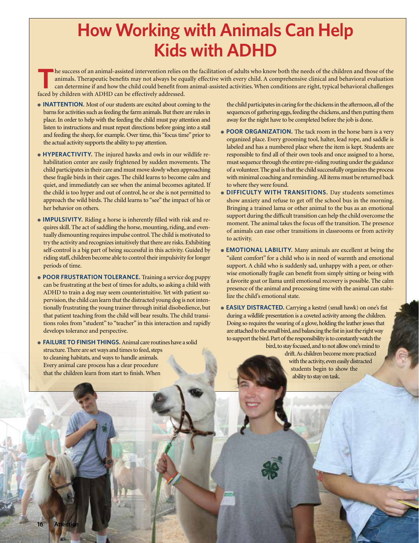### **How Working with Animals Can Help Kids with ADHD**

**T**he success of an animal-assisted intervention relies on the facilitation of adults who know both the needs of the children and those of the animals. Therapeutic benefits may not always be equally effective with every child. A comprehensive clinical and behavioral evaluation can determine if and how the child could benefit from animal-assisted activities. When conditions are right, typical behavioral challenges faced by children with ADHD can be effectively addressed.

- **Inattention.** Most of our students are excited about coming to the barns for activities such as feeding the farm animals. But there are rules in place. In order to help with the feeding the child must pay attention and listen to instructions and must repeat directions before going into a stall and feeding the sheep, for example. Over time, this "focus time" prior to the actual activity supports the ability to pay attention.
- **Hyperactivity.** The injured hawks and owls in our wildlife rehabilitation center are easily frightened by sudden movements. The child participates in their care and must move slowly when approaching these fragile birds in their cages. The child learns to become calm and quiet, and immediately can see when the animal becomes agitated. If the child is too hyper and out of control, he or she is not permitted to approach the wild birds. The child learns to "see" the impact of his or her behavior on others.
- **Impulsivity.** Riding a horse is inherently filled with risk and requires skill. The act of saddling the horse, mounting, riding, and eventually dismounting requires impulse control. The child is motivated to try the activity and recognizes intuitively that there are risks. Exhibiting self-control is a big part of being successful in this activity. Guided by riding staff, children become able to control their impulsivity for longer periods of time.
- **Poor frustration tolerance.** Training a service dog puppy can be frustrating at the best of times for adults, so asking a child with ADHD to train a dog may seem counterintuitive. Yet with patient supervision, the child can learn that the distracted young dog is not intentionally frustrating the young trainer through initial disobedience, but that patient teaching from the child will bear results. The child transitions roles from "student" to "teacher" in this interaction and rapidly develops tolerance and perspective.
- **Failure to finish things.** Animal care routines have a solid structure. There are set ways and times to feed, steps to cleaning habitats, and ways to handle animals. Every animal care process has a clear procedure that the children learn from start to finish. When

the child participates in caring for the chickens in the afternoon, all of the sequences of gathering eggs, feeding the chickens, and then putting them away for the night have to be completed before the job is done.

- **POOR ORGANIZATION.** The tack room in the horse barn is a very organized place. Every grooming tool, halter, lead rope, and saddle is labeled and has a numbered place where the item is kept. Students are responsible to find all of their own tools and once assigned to a horse, must sequence through the entire pre-riding routing under the guidance of a volunteer. The goal is that the child successfully organizes the process with minimal coaching and reminding. All items must be returned back to where they were found.
- **Difficulty with transitions.** Day students sometimes show anxiety and refuse to get off the school bus in the morning. Bringing a trained lama or other animal to the bus as an emotional support during the difficult transition can help the child overcome the moment. The animal takes the focus off the transition. The presence of animals can ease other transitions in classrooms or from activity to activity.
- **Emotional lability.** Many animals are excellent at being the "silent comfort" for a child who is in need of warmth and emotional support. A child who is suddenly sad, unhappy with a peer, or otherwise emotionally fragile can benefit from simply sitting or being with a favorite goat or llama until emotional recovery is possible. The calm presence of the animal and processing time with the animal can stabilize the child's emotional state.

● **Easily distracted.** Carrying a kestrel (small hawk) on one's fist during a wildlife presentation is a coveted activity among the children. Doing so requires the wearing of a glove, holding the leather jesses that are attached to the small bird, and balancing the fist in just the right way to support the bird. Part of the responsibility is to constantly watch the bird, to stay focused, and to not allow one's mind to drift. As children become more practiced

with the activity, even easily distracted students begin to show the ability to stay on task.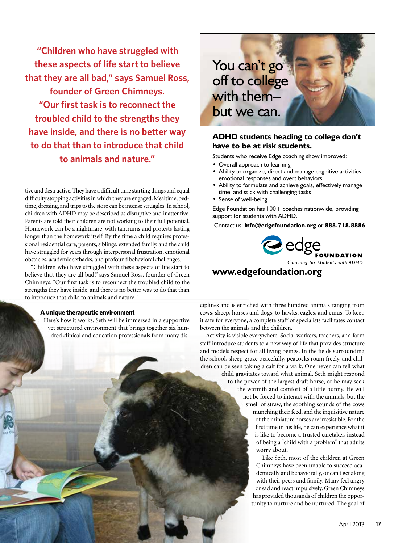**"Children who have struggled with these aspects of life start to believe that they are all bad," says Samuel Ross, founder of Green Chimneys. "Our first task is to reconnect the troubled child to the strengths they have inside, and there is no better way to do that than to introduce that child to animals and nature."**

tive and destructive. They have a difficult time starting things and equal difficulty stopping activities in which they are engaged. Mealtime, bedtime, dressing, and trips to the store can be intense struggles. In school, children with ADHD may be described as disruptive and inattentive. Parents are told their children are not working to their full potential. Homework can be a nightmare, with tantrums and protests lasting longer than the homework itself. By the time a child requires professional residential care, parents, siblings, extended family, and the child have struggled for years through interpersonal frustration, emotional obstacles, academic setbacks, and profound behavioral challenges.

"Children who have struggled with these aspects of life start to believe that they are all bad," says Samuel Ross, founder of Green Chimneys. "Our first task is to reconnect the troubled child to the strengths they have inside, and there is no better way to do that than to introduce that child to animals and nature."

#### **A unique therapeutic environment**

Here's how it works. Seth will be immersed in a supportive yet structured environment that brings together six hundred clinical and education professionals from many dis-



#### **ADHD students heading to college don't have to be at risk students.**

- Students who receive Edge coaching show improved:
- Overall approach to learning
- • Ability to organize, direct and manage cognitive activities, emotional responses and overt behaviors
- Ability to formulate and achieve goals, effectively manage time, and stick with challenging tasks
- Sense of well-being

Edge Foundation has 100+ coaches nationwide, providing support for students with ADHD.

Contact us: **info@edgefoundation.org** or **888.718.8886**



#### **www.edgefoundation.org**

ciplines and is enriched with three hundred animals ranging from cows, sheep, horses and dogs, to hawks, eagles, and emus. To keep it safe for everyone, a complete staff of specialists facilitates contact between the animals and the children.

Activity is visible everywhere. Social workers, teachers, and farm staff introduce students to a new way of life that provides structure and models respect for all living beings. In the fields surrounding the school, sheep graze peacefully, peacocks roam freely, and children can be seen taking a calf for a walk. One never can tell what child gravitates toward what animal. Seth might respond to the power of the largest draft horse, or he may seek the warmth and comfort of a little bunny. He will not be forced to interact with the animals, but the smell of straw, the soothing sounds of the cows munching their feed, and the inquisitive nature of the miniature horses are irresistible. For the first time in his life, he can experience what it is like to become a trusted caretaker, instead of being a "child with a problem" that adults worry about.

> Like Seth, most of the children at Green Chimneys have been unable to succeed academically and behaviorally, or can't get along with their peers and family. Many feel angry or sad and react impulsively. Green Chimneys has provided thousands of children the opportunity to nurture and be nurtured. The goal of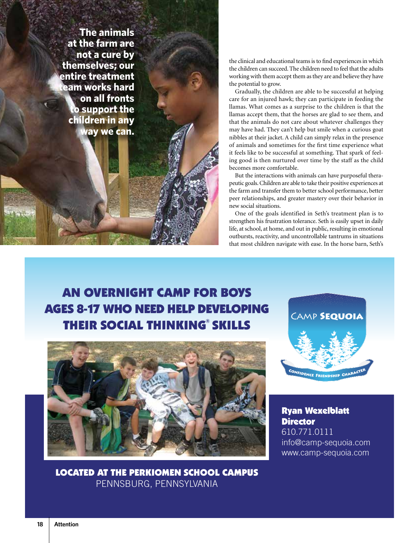**The animals at the farm are not a cure by themselves; our entire treatment team works hard on all fronts to support the children in any way we can.**

the clinical and educational teams is to find experiences in which the children can succeed. The children need to feel that the adults working with them accept them as they are and believe they have the potential to grow.

Gradually, the children are able to be successful at helping care for an injured hawk; they can participate in feeding the llamas. What comes as a surprise to the children is that the llamas accept them, that the horses are glad to see them, and that the animals do not care about whatever challenges they may have had. They can't help but smile when a curious goat nibbles at their jacket. A child can simply relax in the presence of animals and sometimes for the first time experience what it feels like to be successful at something. That spark of feeling good is then nurtured over time by the staff as the child becomes more comfortable.

But the interactions with animals can have purposeful therapeutic goals. Children are able to take their positive experiences at the farm and transfer them to better school performance, better peer relationships, and greater mastery over their behavior in new social situations.

One of the goals identified in Seth's treatment plan is to strengthen his frustration tolerance. Seth is easily upset in daily life, at school, at home, and out in public, resulting in emotional outbursts, reactivity, and uncontrollable tantrums in situations that most children navigate with ease. In the horse barn, Seth's

### an overnight camP for BoyS ageS 8-17 Who need heLP deveLoPing **THEIR SOCIAL THINKING® SKILLS**



Located at the Perkiomen SchooL camPuS Pennsburg, Pennsylvania



**Ryan Wexelblatt Director** 610.771.0111 info@camp-sequoia.com www.camp-sequoia.com